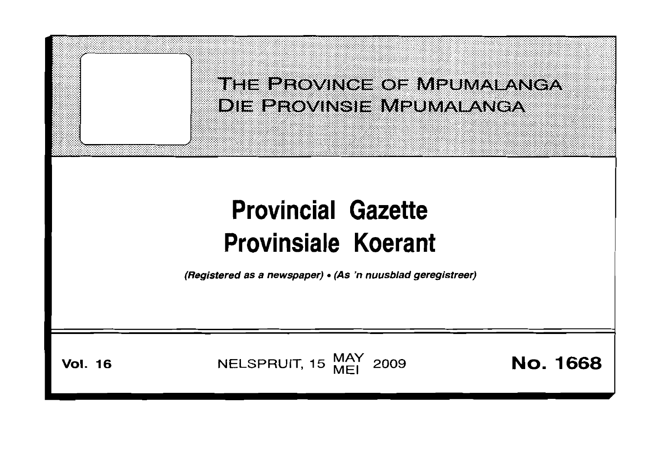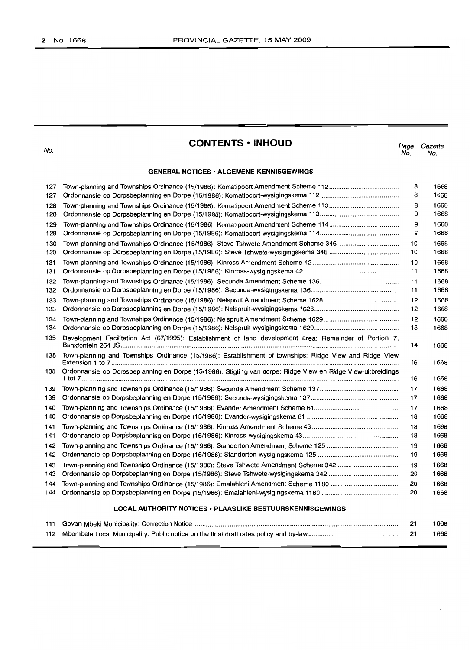No.

# **CONTENTS· INHOUD**

*Page Gazette* No. No.

# **GENERAL NOTICES· ALGEMENE KENNISGEWINGS**

| 127                                                              |                                                                                                              | 8  | 1668 |  |
|------------------------------------------------------------------|--------------------------------------------------------------------------------------------------------------|----|------|--|
| 127                                                              |                                                                                                              | 8  | 1668 |  |
| 128                                                              |                                                                                                              | 8  | 1668 |  |
| 128                                                              |                                                                                                              | 9  | 1668 |  |
| 129                                                              |                                                                                                              | 9  | 1668 |  |
| 129                                                              |                                                                                                              | 9  | 1668 |  |
| 130                                                              |                                                                                                              | 10 | 1668 |  |
| 130                                                              |                                                                                                              | 10 | 1668 |  |
| 131                                                              |                                                                                                              | 10 | 1668 |  |
| 131                                                              |                                                                                                              | 11 | 1668 |  |
| 132                                                              |                                                                                                              | 11 | 1668 |  |
| 132                                                              |                                                                                                              | 11 | 1668 |  |
| 133                                                              |                                                                                                              | 12 | 1668 |  |
| 133                                                              |                                                                                                              | 12 | 1668 |  |
| 134                                                              |                                                                                                              | 12 | 1668 |  |
| 134                                                              |                                                                                                              | 13 | 1668 |  |
| 135                                                              | Development Facilitation Act (67/1995): Establishment of land development area: Remainder of Portion 7,      | 14 | 1668 |  |
| 138                                                              | Town-planning and Townships Ordinance (15/1986): Establishment of townships: Ridge View and Ridge View       | 16 | 1668 |  |
| 138                                                              | Ordonnansie op Dorpsbeplanning en Dorpe (15/1986): Stigting van dorpe: Ridge View en Ridge View-uitbreidings | 16 | 1668 |  |
| 139                                                              |                                                                                                              | 17 | 1668 |  |
| 139                                                              |                                                                                                              | 17 | 1668 |  |
| 140                                                              |                                                                                                              | 17 | 1668 |  |
| 140                                                              |                                                                                                              | 18 | 1668 |  |
| 141                                                              |                                                                                                              | 18 | 1668 |  |
| 141                                                              |                                                                                                              | 18 | 1668 |  |
| 142                                                              |                                                                                                              | 19 | 1668 |  |
| 142                                                              |                                                                                                              | 19 | 1668 |  |
| 143                                                              |                                                                                                              | 19 | 1668 |  |
| 143                                                              |                                                                                                              | 20 | 1668 |  |
| 144                                                              |                                                                                                              | 20 | 1668 |  |
| 144                                                              |                                                                                                              | 20 | 1668 |  |
| <b>LOCAL AUTHORITY NOTICES • PLAASLIKE BESTUURSKENNISGEWINGS</b> |                                                                                                              |    |      |  |

|  | 1668 |
|--|------|
|  | 1668 |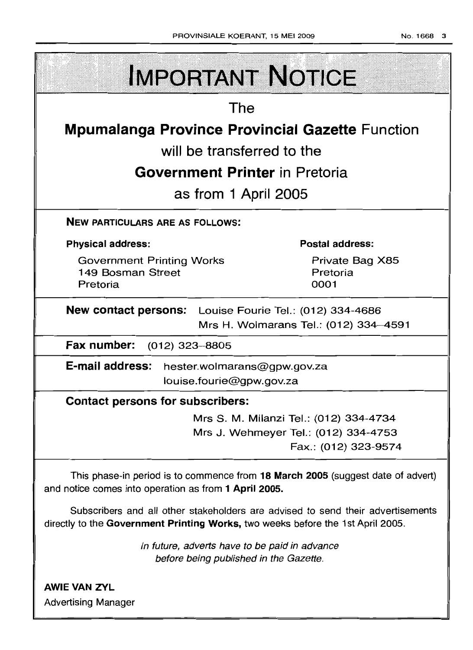| <b>IMPORTANT NOTICE</b>                                           |                                                                             |  |  |  |  |  |
|-------------------------------------------------------------------|-----------------------------------------------------------------------------|--|--|--|--|--|
| The                                                               |                                                                             |  |  |  |  |  |
| <b>Mpumalanga Province Provincial Gazette Function</b>            |                                                                             |  |  |  |  |  |
| will be transferred to the                                        |                                                                             |  |  |  |  |  |
| <b>Government Printer</b> in Pretoria                             |                                                                             |  |  |  |  |  |
| as from 1 April 2005                                              |                                                                             |  |  |  |  |  |
| <b>NEW PARTICULARS ARE AS FOLLOWS:</b>                            |                                                                             |  |  |  |  |  |
| <b>Physical address:</b>                                          | <b>Postal address:</b>                                                      |  |  |  |  |  |
| <b>Government Printing Works</b><br>149 Bosman Street<br>Pretoria | Private Bag X85<br>Pretoria<br>0001                                         |  |  |  |  |  |
| <b>New contact persons:</b>                                       | Louise Fourie Tel.: (012) 334-4686<br>Mrs H. Wolmarans Tel.: (012) 334-4591 |  |  |  |  |  |

**Fax number:** (012) 323-8805

**E-mail address:** hester.wolmarans@gpw.gov.za louise.fourie@gpw.gov.za

# **Contact persons for subscribers:**

Mrs S. M. Milanzi Tel.: (012) 334-4734 Mrs J. Wehmeyer Tel.: (012) 334-4753 Fax.: (012) 323-9574

This phase-in period is to commence from **18 March 2005** (suggest date of advert) and notice comes into operation as from **1 April 2005.**

Subscribers and all other stakeholders are advised to send their advertisements directly to the **Government Printing Works,** two weeks before the 1st April 2005.

> In future, adverts have to be paid in advance before being published in the Gazette.

**AWIE VAN ZVL** Advertising Manager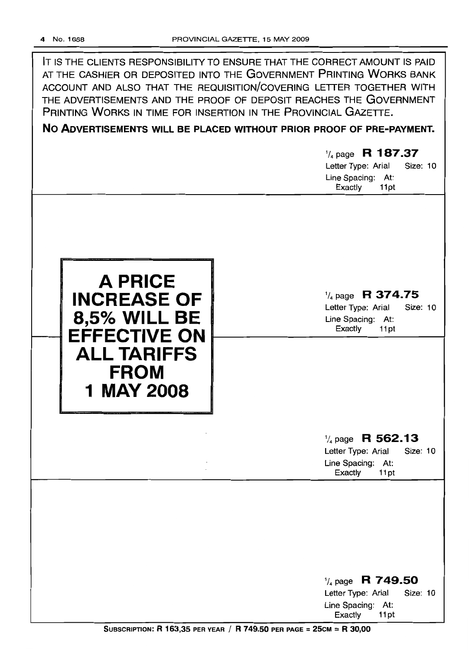| IT IS THE CLIENTS RESPONSIBILITY TO ENSURE THAT THE CORRECT AMOUNT IS PAID<br>AT THE CASHIER OR DEPOSITED INTO THE GOVERNMENT PRINTING WORKS BANK<br>ACCOUNT AND ALSO THAT THE REQUISITION/COVERING LETTER TOGETHER WITH<br>THE ADVERTISEMENTS AND THE PROOF OF DEPOSIT REACHES THE GOVERNMENT<br>PRINTING WORKS IN TIME FOR INSERTION IN THE PROVINCIAL GAZETTE.<br>NO ADVERTISEMENTS WILL BE PLACED WITHOUT PRIOR PROOF OF PRE-PAYMENT.<br>$\frac{1}{4}$ page R 187.37<br>Letter Type: Arial<br><b>Size: 10</b><br>Line Spacing: At:<br>Exactly<br>11pt |                                                                                                       |  |  |
|-----------------------------------------------------------------------------------------------------------------------------------------------------------------------------------------------------------------------------------------------------------------------------------------------------------------------------------------------------------------------------------------------------------------------------------------------------------------------------------------------------------------------------------------------------------|-------------------------------------------------------------------------------------------------------|--|--|
| <b>A PRICE</b><br><b>INCREASE OF</b><br><b>8,5% WILL BE</b><br><b>EFFECTIVE ON</b><br><b>ALL TARIFFS</b><br><b>FROM</b><br><b>1 MAY 2008</b>                                                                                                                                                                                                                                                                                                                                                                                                              | $\frac{1}{4}$ page R 374.75<br>Size: 10<br>Letter Type: Arial<br>Line Spacing: At:<br>Exactly<br>11pt |  |  |
|                                                                                                                                                                                                                                                                                                                                                                                                                                                                                                                                                           | $\frac{1}{4}$ page R 562.13<br>Size: 10<br>Letter Type: Arial<br>Line Spacing: At:<br>Exactly<br>11pt |  |  |
|                                                                                                                                                                                                                                                                                                                                                                                                                                                                                                                                                           | $\frac{1}{4}$ page R 749.50<br>Size: 10<br>Letter Type: Arial<br>Line Spacing: At:<br>Exactly<br>11pt |  |  |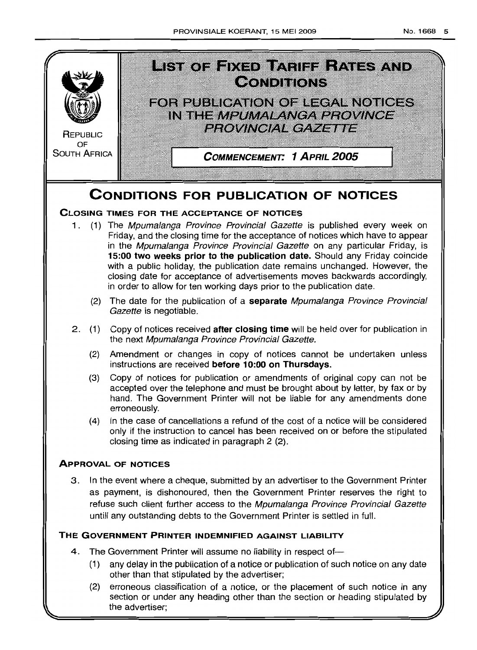

(2) erroneous classification of a notice, or the placement of such notice in any section or under any heading other than the section or heading stipulated by the advertiser;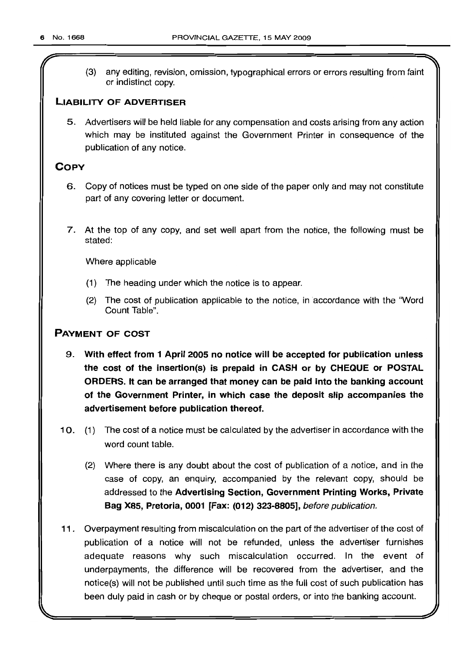(3) any editing, revision, omission, typographical errors or errors resulting from faint or indistinct copy.

# **LIABILITY OF ADVERTISER**

5. Advertisers will be held liable for any compensation and costs arising from any action which may be instituted against the Government Printer in consequence of the publication of any notice.

# **COpy**

- 6. Copy of notices must be typed on one side of the paper only and may not constitute part of any covering letter or document.
- 7. At the top of any copy, and set well apart from the notice, the following must be stated:

Where applicable

- (1) The heading under which the notice is to appear.
- (2) The cost of publication applicable to the notice, in accordance with the "Word Count Table".

# **PAYMENT OF COST**

- 9. **With effect from 1 April 2005 no notice will be accepted for publication unless the cost of the insertion(s) is prepaid in CASH or by CHEQUE or POSTAL ORDERS. It can be arranged that money can be paid into the banking account of the Government Printer, in which case the deposit slip accompanies the advertisement before publication thereof.**
- 10. (1) The cost of a notice must be calculated by the advertiser in accordance with the word count table.
	- (2) Where there is any doubt about the cost of publication of a notice, and in the case of copy, an enquiry, accompanied by the relevant copy, should be addressed to the **Advertising Section, Government Printing Works, Private Bag X85, Pretoria, 0001 [Fax: (012) 323-8805],** before publication.
- **11.** Overpayment resulting from miscalculation on the part of the advertiser of the cost of publication of a notice will not be refunded, unless the advertiser furnishes adequate reasons why such miscalculation occurred. In the event of underpayments, the difference will be recovered from the advertiser, and the notice(s) will not be published until such time as the full cost of such publication has been duly paid in cash or by cheque or postal orders, or into the banking account.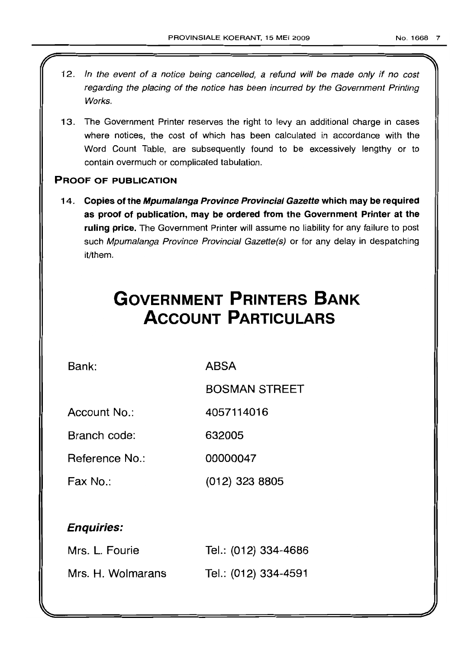- 12. In the event of a notice being cancelled, a refund will be made only if no cost regarding the placing of the notice has been incurred by the Government Printing Works.
- 13. The Government Printer reserves the right to levy an additional charge in cases where notices, the cost of which has been calculated in accordance with the Word Count Table, are subsequently found to be excessively lengthy or to contain overmuch or complicated tabulation.

# PROOF OF PUBLICATION

14. Copies of the Mpumalanga Province Provincial Gazette which may be required as proof of publication, may be ordered from the Government Printer at the ruling price. The Government Printer will assume no liability for any failure to post such Mpumalanga Province Provincial Gazette(s) or for any delay in despatching it/them.

# **GOVERNMENT PRINTERS BANK ACCOUNT PARTICULARS**

Bank: ABSA

BOSMAN STREET

Account No.: 4057114016

Branch code: 632005

Reference No.: 00000047

Fax No.: (012) 323 8805

# Enquiries:

| Mrs. L. Fourie    | Tel.: (012) 334-4686 |
|-------------------|----------------------|
| Mrs. H. Wolmarans | Tel.: (012) 334-4591 |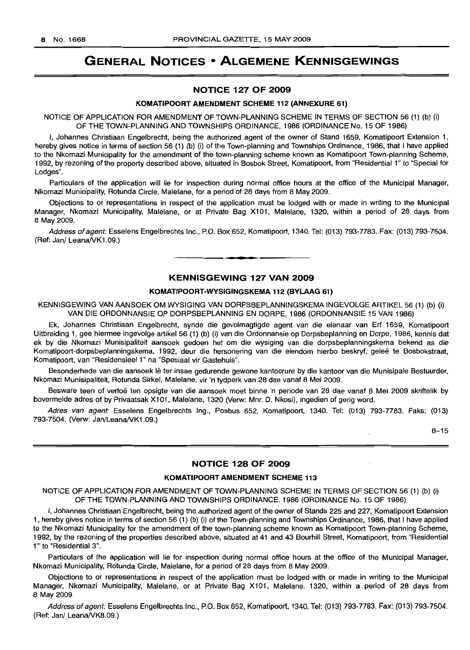# **GENERAL NOTICES • ALGEMENE KENNISGEWINGS**

## NOTICE 127 OF 2009

#### KOMATIPOORT AMENDMENT SCHEME 112 (ANNEXURE 61)

NOTICE OF APPLICATION FOR AMENDMENT OF TOWN-PLANNING SCHEME IN TERMS OF SECTION 56 (1) (b) (i) OF THE TOWN-PLANNING AND TOWNSHIPS ORDINANCE, 1986 (ORDINANCE No. 15 OF 1986)

I, Johannes Christiaan Engelbrecht, being the authorized agent of the owner of Stand 1659, Komatipoort Extension 1, hereby gives notice in terms of section 56 (1) (b) (i) of the Town-planning and Townships Ordinance, 1986, that I have applied to the Nkomazi Municipality for the amendment of the town-planning scheme known as Komatipoort Town-planning Scheme, 1992, by rezoning of the property described above, situated in Bosbok Street, Komatipoort, from "Residential 1" to "Special for Lodges".

Particulars of the application will lie for inspection during normal office hours at the office of the Municipal Manager, Nkomazi Municipality, Rotunda Circle, Malelane, for a period of 28 days from 8 May 2009.

Objections to or representations in respect of the application must be lodged with or made in writing to the Municipal Manager, Nkomazi Municipality, Malelane, or at Private Bag X101, Malelane, 1320, within a period of 28 days from 8 May 2009.

Address of agent: Esselens Engelbrechts Inc., P.O. Box 652, Komatipoort, 1340. Tel: (013) 793-7783, Fax: (013) 793-7504. (Ref: Jan/ Leana/VK1.09.)

#### KENNISGEWING 127 VAN 2009

**•**

#### KOMATIPOORT-WYSIGINGSKEMA 112 (BYLAAG 61)

KENNISGEWING VAN AANSOEK OM WYSIGING VAN DORPSBEPLANNINGSKEMA INGEVOLGE ARTIKEL 56 (1) (b) (i) VAN DIE ORDONNANSIE OP DORPSBEPLANNING EN DORPE, 1986 (ORDONNANSIE 15 VAN 1986)

Ek, Johannes Christiaan Engelbrecht, synde die gevolmagtigde agent van die eienaar van Erf 1659, Komatipoort Uitbreiding 1, gee hiermee ingevolge artikel 56 (1) (b) (i) van die Ordonnansie op Dorpsbeplanning en Dorpe, 1986, kennis dat ek by die Nkomazi Munisipaliteit aansoek gedoen het om die wysiging van die dorpsbeplanningskema bekend as die Komatipoort-dorpsbeplanningskema, 1992, deur die hersonering van die eiendom hierbo beskryf, geleë te Bosbokstraat, Komatipoort, van "Residensieel 1" na "Spesiaal vir Gastehuis".

Besonderhede van die aansoek lê ter insae gedurende gewone kantoorure by die kantoor van die Munisipale Bestuurder, Nkomazi Munisipaliteit, Rotunda Sirkel, Malelane, vir 'n tydperk van 28 dae vanaf 8 Mei 2009.

Besware teen of vertoe ten opsigte van die aansoek moet binne 'n periode van 28 dae vanaf 8 Mei 2009 skriftelik by bovermelde adres of by Privaatsak X101, Malelane, 1320 (Verw: Mm. D. Nkosi), ingedien of gerig word.

Adres van agent: Esselens Engelbrechts Ing., Posbus 652, Komatipoort, 1340. Tel: (013) 793-7783. Faks: (013) 793-7504. (Verw: Jan/Leana/VK1.09.)

8-15

# NOTICE 128 OF 2009

#### KOMATIPOORT AMENDMENT SCHEME 113

NOTICE OF APPLICATION FOR AMENDMENT OF TOWN-PLANNING SCHEME IN TERMS OF SECTION 56 (1) (b) (i) OF THE TOWN-PLANNING AND TOWNSHIPS ORDINANCE, 1986 (ORDINANCE No. 15 OF 1986)

I, Johannes Christiaan Engelbrecht, being the authorized agent of the owner of Stands 225 and 227, Komatipoort Extension 1, hereby gives notice in terms of section 56 (1) (b) (i) of the Town-planning and Townships Ordinance, 1986, that I have applied to the Nkomazi Municipality for the amendment of the town-planning scheme known as Komatipoort Town-planning Scheme, 1992, by the rezoning of the properties described above, situated at 41 and 43 Bourhill Street, Komatipoort, from "Residential 1" to "Residential 3".

Particulars of the application will lie for inspection during normal office hours at the office of the Municipal Manager, Nkomazi Municipality, Rotunda Circle, Malelane, for a period of 28 days from 8 May 2009.

Objections to or representations in respect of the application must be lodged with or made in writing to the Municipal Manager, Nkomazi Municipality, Malelane, or at Private Bag X101, Malelane, 1320, within a period of 28 days from 8 May 2009.

Address of agent: Esselens Engelbrechts Inc., P.O. Box 652, Komatipoort, 1340. Tel: (013) 793-7783. Fax: (013) 793-7504. (Ref: Jan/ Leana/VK8.09.)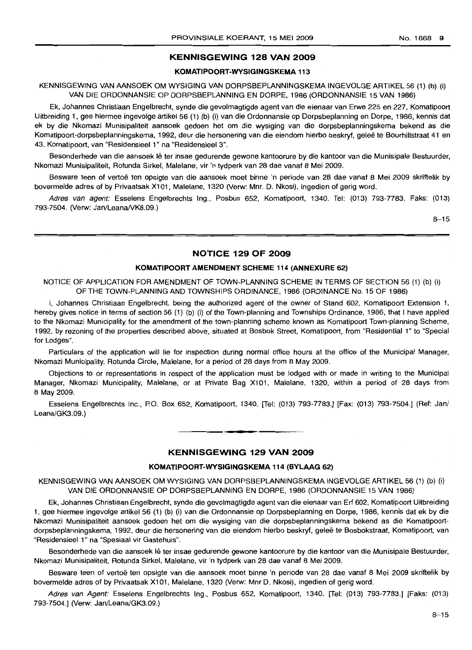# **KENNISGEWING 128 VAN 2009**

#### **KOMATIPOORT-WYSIGINGSKEMA 113**

KENNISGEWING VAN AANSOEK OM WYSIGING VAN DORPSBEPLANNINGSKEMA INGEVOLGE ARTIKEL 56 (1) (b) (i) VAN DIE ORDONNANSIE OP DORPSBEPLANNING EN DORPE, 1986 (ORDONNANSIE 15 VAN 1986)

Ek, Johannes Christiaan Engelbrecht, synde die gevolmagtigde agent van die eienaar van Erwe 225 en 227, Komatipoort Uitbreiding 1, gee hiermee ingevolge artikel 56 (1) (b) (i) van die Ordonnansie op Dorpsbeplanning en Dorpe, 1986, kennis dat ek by die Nkomazi Munisipaliteit aansoek gedoen het om die wysiging van die dorpsbeplanningskema bekend as die Komatipoort-dorpsbeplanningskema, 1992, deur die hersonering van die eiendom hierbo beskryf, gelee te Bourhillstraat 41 en 43, Komatipoort, van "Residensieel 1" na "Residensieel 3".

Besonderhede van die aansoek lê ter insae gedurende gewone kantoorure by die kantoor van die Munisipale Bestuurder, Nkomazi Munisipaliteit, Rotunda Sirkel, Malelane, vir 'n tydperk van 28 dae vanaf 8 Mei 2009.

Besware teen of vertoe ten opsigte van die aansoek moet binne 'n periode van 28 dae vanaf 8 Mei 2009 skriftelik by bovermelde adres of by Privaatsak X101, Malelane, 1320 (Verw: Mnr. D. Nkosi), ingedien of gerig word.

Adres van agent: Esselens Engelbrechts Ing., Posbus 652, Komatipoort, 1340. Tel: (013) 793-7783. Faks: (013) 793-7504. (Verw: Jan/Leana/VK8.09.)

 $8 - 15$ 

#### **NOTICE 129 OF 2009**

#### **KOMATIPOORT AMENDMENT SCHEME 114 (ANNEXURE 62)**

NOTICE OF APPLICATION FOR AMENDMENT OF TOWN-PLANNING SCHEME IN TERMS OF SECTION 56 (1) (b) (i) OF THE TOWN-PLANNING AND TOWNSHIPS ORDINANCE, 1986 (ORDINANCE No. 15 OF 1986)

I, Johannes Christiaan Engelbrecht, being the authorized agent of the owner of Stand 602, Komatipoort Extension 1, hereby gives notice in terms of section 56 (1) (b) (i) of the Town-planning and Townships Ordinance, 1986, that I have applied to the Nkomazi Municipality for the amendment of the town-planning scheme known as Komatipoort Town-planning Scheme, 1992, by rezoning of the properties described above, situated at Bosbok Street, Komatipoort, from "Residential 1" to "Special for Lodges".

Particulars of the application will lie for inspection during normal office hours at the office of the Municipal Manager, Nkomazi Municipality, Rotunda Circle, Malelane, for a period of 28 days from 8 May 2009.

Objections to or representations in respect of the application must be lodged with or made in writing to the Municipal Manager, Nkomazi Municipality, Malelane, or at Private Bag X101, Malelane, 1320, within a period of 28 days from 8 May 2009.

Esselens Engelbrechts Inc., P.O. Box 652, Komatipoort, 1340. [fel: (013) 793-7783.] [Fax: (013) 793-7504.] (Ref: Jan/ Leana/GK3.09.)

#### **KENNISGEWING 129 VAN 2009**

**•**

#### **KOMATIPOORT-WYSIGINGSKEMA 114 (BYLAAG 62)**

KENNISGEWING VAN AANSOEK OM WYSIGING VAN DORPSBEPLANNINGSKEMA INGEVOLGE ARTIKEL 56 (1) (b) (i) VAN DIE ORDONNANSIE OP DORPSBEPLANNING EN DORPE, 1986 (ORDONNANSIE 15 VAN 1986)

Ek, Johannes Christiaan Engelbrecht, synde die gevolmagtigde agent van die eienaar van Erf 602, Komatipoort Uitbreiding 1, gee hiermee ingevolge artikel 56 (1) (b) (i) van die Ordonnansie op Dorpsbeplanning en Dorpe, 1986, kennis dat ek by die Nkomazi Munisipaliteit aansoek gedoen het om die wysiging van die dorpsbeplanningskema bekend as die Komatipoortdorpsbeplanningskema, 1992, deur die hersonering van die eiendom hierbo beskryf, gelee te Bosbokstraat, Komatipoort, van "Residensieel 1" na "Spesiaal vir Gastehuis".

Besonderhede van die aansoek Ie ter insae gedurende gewone kantoorure by die kantoor van die Munisipale Bestuurder, Nkomazi Munisipaliteit, Rotunda Sirkel, Malelane, vir 'n tydperk van 28 dae vanaf 8 Mei 2009.

Besware teen of vertoë ten opsigte van die aansoek moet binne 'n periode van 28 dae vanaf 8 Mei 2009 skriftelik by bovermelde adres of by Privaatsak X101, Malelane, 1320 (Verw: Mnr D. Nkosi), ingedien of gerig word.

Adres van Agent: Esselens Engelbrechts Ing., Posbus 652, Komatipoort, 1340. [Tel: (013) 793-7783.] [Faks: (013) 793-7504.] (Verw: Jan/Leana/GK3.09.)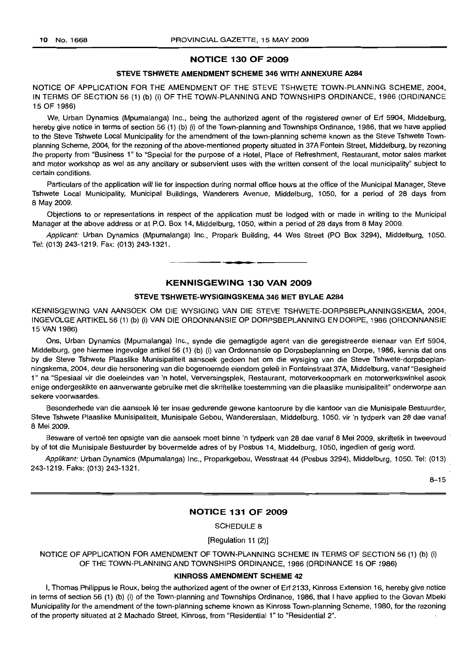# NOTICE 130 OF 2009

#### STEVE TSHWETE AMENDMENT SCHEME 346 WITH ANNEXURE A284

NOTICE OF APPLICATION FOR THE AMENDMENT OF THE STEVE TSHWETE TOWN-PLANNING SCHEME, 2004, IN TERMS OF SECTION 56 (1) (b) (i) OF THE TOWN-PLANNING AND TOWNSHIPS ORDINANCE, 1986 (ORDINANCE 15 OF 1986)

We, Urban Dynamics (Mpumalanga) Inc., being the authorized agent of the registered owner of Erf 5904, Middelburg, hereby give notice in terms of section 56 (1) (b) (i) of the Town-planning and Townships Ordinance, 1986, that we have applied to the Steve Tshwete Local Municipality for the amendment of the town-planning scheme known as the Steve Tshwete Townplanning Scheme, 2004, for the rezoning of the above-mentioned property situated in 37A Fontein Street, Middelburg, by rezoning the property from "Business 1" to "Special for the purpose of a Hotel, Place of Refreshment, Restaurant, motor sales market and motor workshop as wei as any ancillary or subservient uses with the written consent of the local municipality" subject to certain conditions.

Particulars of the application will lie for inspection during normal office hours at the office of the Municipal Manager, Steve Tshwete Local Municipality, Municipal Buildings, Wanderers Avenue, Middelburg, 1050, for a period of 28 days from 8 May 2009.

Objections to or representations in respect of the application must be lodged with or made in writing to the Municipal Manager at the above address or at P.O. Box 14, Middelburg, 1050, within a period of 28 days from 8 May 2009.

Applicant: Urban Dynamics (Mpumalanga) Inc., Propark Building, 44 Wes Street (PO Box 3294), Middelburg, 1050. Tel: (013) 243-1219. Fax: (013) 243-1321.

#### KENNISGEWING 130 VAN 2009

**• •**

#### STEVE TSHWETE-WYSIGINGSKEMA 346 MET BYLAE A284

KENNISGEWING VAN AANSOEK OM DIE WYSIGING VAN DIE STEVE TSHWETE-DORPSBEPLANNINGSKEMA, 2004, INGEVOLGE ARTIKEL 56 (1) (b) (i) VAN DIE ORDONNANSIE OP DORPSBEPLANNING EN DORPE, 1986 (ORDONNANSIE 15 VAN 1986)

Ons, Urban Dynamics (Mpumalanga) Inc., synde die gemagtigde agent van die geregistreerde eienaar van Erf 5904, Middelburg, gee hiermee ingevolge artikel 56 (1) (b) (i) van Ordonnansie op Dorpsbeplanning en Dorpe, 1986, kennis dat ons by die Steve Tshwete Plaaslike Munisipaliteit aansoek gedoen het om die wysiging van die Steve Tshwete-dorpsbeplanningskema, 2004, deur die hersonering van die bogenoemde eiendom geleë in Fonteinstraat 37A, Middelburg, vanaf "Besigheid 1" na "Spesiaal vir die doeleindes van 'n hotel, Verversingsplek, Restaurant, motorverkoopmark en motorwerkswinkel asook enige ondergeskikte en aanverwante gebruike met die skriftelike toestemming van die plaaslike munisipaliteit" onderworpe aan sekere voorwaardes.

Besonderhede van die aansoek lê ter insae gedurende gewone kantoorure by die kantoor van die Munisipale Bestuurder, Steve Tshwete Plaaslike Munisipaliteit, Munisipale Gebou, Wandererslaan, Middelburg, 1050, vir 'n tydperk van 28 dae vanaf 8 Mei 2009.

Besware of vertoë ten opsigte van die aansoek moet binne 'n tydperk van 28 dae vanaf 8 Mei 2009, skriftelik in tweevoud by of tot die Munisipale Bestuurder by bovermelde adres of by Posbus 14, Middelburg, 1050, ingedien of gerig word.

Applikant: Urban Dynamics (Mpumalanga) Inc., Proparkgebou, Wesstraat 44 (Posbus 3294), Middelburg, 1050. Tel: (013) 243-1219. Faks: (013) 243-1321.

 $8 - 15$ 

#### NOTICE 131 OF 2009

SCHEDULE 8

[Regulation 11 (2)]

NOTICE OF APPLICATION FOR AMENDMENT OF TOWN-PLANNING SCHEME IN TERMS OF SECTION 56 (1) (b) (i) OF THE TOWN-PLANNING AND TOWNSHIPS ORDINANCE, 1986 (ORDINANCE 15 OF 1986)

#### KINROSS AMENDMENT SCHEME 42

I, Thomas Philippus Ie Roux, being the authorized agent of the owner of Erf 2133, Kinross Extension 16, hereby give notice in terms of section 56 (1) (b) (i) of the Town-planning and Townships Ordinance, 1986, that I have applied to the Govan Mbeki Municipality for the amendment of the town-planning scheme known as Kinross Town-planning Scheme, 1980, for the rezoning of the property situated at 2 Machado Street, Kinross, from "Residential 1" to "Residential 2",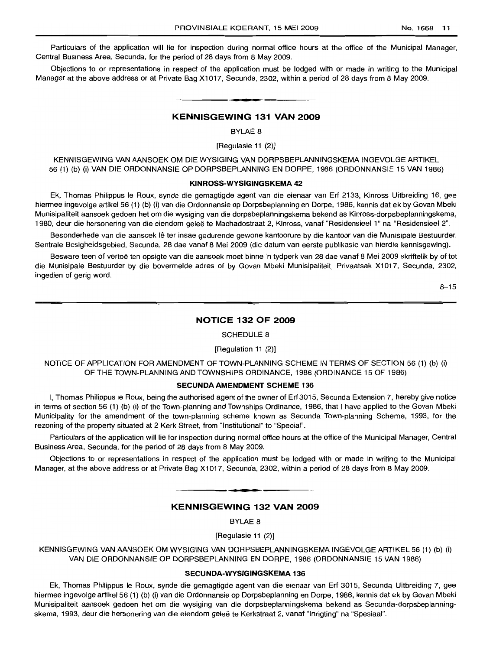Particulars of the application will lie for inspection during normal office hours at the office of the Municipal Manager, Central Business Area, Secunda, for the period of 28 days from 8 May 2009.

Objections to or representations in respect of the application must be lodged with or made in writing to the Municipal Manager at the above address or at Private Bag X1017, Secunda, 2302, within a period of 28 days from 8 May 2009.

#### **- KENNISGEWING <sup>131</sup> VAN <sup>2009</sup>**

BYLAE 8

[Regulasie 11 (2)]

KENNISGEWING VAN AANSOEK OM DIE WYSIGING VAN DORPSBEPLANNINGSKEMA INGEVOLGE ARTIKEL 56 (1) (b) (i) VAN DIE ORDONNANSIE OP DORPSBEPLANNING EN DORPE, 1986 (ORDONNANSIE 15 VAN 1986)

#### **KINROSS-WYSIGINGSKEMA 42**

Ek, Thomas Philippus Ie Roux, synde die gemagtigde agent van die eienaar van Erf 2133, Kinross Uitbreiding 16, gee hiermee ingevolge artikel 56 (1) (b) (i) van die Ordonnansie op Dorpsbeplanning en Dorpe, 1986, kennis dat ek by Govan Mbeki Munisipaliteit aansoek gedoen het om die wysiging van die dorpsbeplanningskema bekend as Kinross-dorpsbeplanningskema, 1980, deur die hersonering van die eiendom qelee te Machadostraat 2, Kinross, vanaf "Residensieel 1" na "Residensieel 2".

Besonderhede van die aansoek lê ter insae gedurende gewone kantoorure by die kantoor van die Munisipale Bestuurder, Sentrale Besigheidsgebied, Secunda, 28 dae vanaf 8 Mei 2009 (die datum van eerste publikasie van hierdie kennisgewing).

Besware teen of vertoë ten opsigte van die aansoek moet binne 'n tydperk van 28 dae vanaf 8 Mei 2009 skriftelik by of tot die Munisipale Bestuurder by die bovermelde adres of by Govan Mbeki Munisipaliteit, Privaatsak X1017, Secunda, 2302, ingedien of gerig word.

 $8 - 15$ 

## **NOTICE 132 OF 2009**

#### SCHEDULE 8

#### [Regulation 11 (2)]

NOTICE OF APPLICATION FOR AMENDMENT OF TOWN-PLANNING SCHEME IN TERMS OF SECTION 56 (1) (b) (i) OF THE TOWN-PLANNING AND TOWNSHIPS ORDINANCE, 1986 (ORDINANCE 15 OF 1986)

#### **SECUNDA AMENDMENT SCHEME** 136

I, Thomas Philippus Ie Roux, being the authorised agent of the owner of Erf 3015, Secunda Extension 7, hereby give notice in terms of section 56 (1) (b) (i) of the Town-planning and Townships Ordinance, 1986, that I have applied to the Govan Mbeki Municipality for the amendment of the town-planning scheme known as Secunda Town-planning Scheme, 1993, for the rezoning of the property situated at 2 Kerk Street, from "Institutional" to "Special".

Particulars of the application will lie for inspection during normal office hours at the office of the Municipal Manager, Central Business Area, Secunda, for the period of 28 days from 8 May 2009.

Objections to or representations in respect of the application must be lodged with or made in writing to the Municipal Manager, at the above address or at Private Bag X1017, Secunda, 2302, within a period of 28 days from 8 May 2009.

### **KENNISGEWING 132 VAN 2009**

**• •**

BYLAE 8

[Regulasie 11 (2)]

KENNISGEWING VAN AANSOEK OM WYSIGING VAN DORPSBEPLANNINGSKEMA INGEVOLGE ARTIKEL 56 (1) (b) (i) VAN DIE ORDONNANSIE OP DORPSBEPLANNING EN DORPE, 1986 (ORDONNANSIE 15 VAN 1986)

#### **SECUNDA-WYSIGINGSKEMA** 136

Ek, Thomas Philippus Ie Roux, synde die gemagtigde agent van die eienaar van Erf 3015, Secunda Uitbreiding 7, gee hiermee ingevolge artikel 56 (1) (b) (i) van die Ordonnansie op Dorpsbeplanning en Dorpe, 1986, kennis dat ek by Govan Mbeki Munisipaliteit aansoek gedoen het om die wysiging van die dorpsbeplanningskema bekend as Secunda-dorpsbeplanningskema, 1993, deur die hersonering van die eiendom gelee te Kerkstraat 2, vanaf "Inrigting" na "Spesiaal".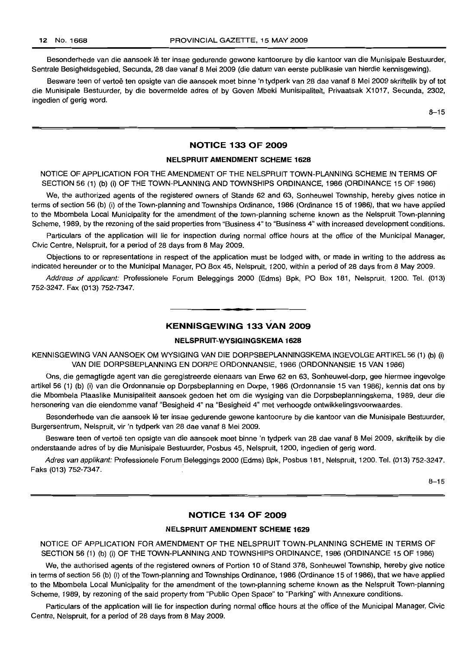Besonderhede van die aansoek lê ter insae gedurende gewone kantoorure by die kantoor van die Munisipale Bestuurder, Sentrale Besigheidsgebied, Secunda, 28 dae vanaf 8 Mei 2009 (die datum van eerste publikasie van hierdie kennisgewing).

Besware teen of vertoe ten opsigte van die aansoek moet binne 'n tydperk van 28 dae vanaf 8 Mei 2009 skriftelik by of tot die Munisipale Bestuurder, by die bovermelde adres of by Goven Mbeki Munisipaliteit, Privaatsak X1017, Secunda, 2302, ingedien of gerig word.

8-15

#### NOTICE 133 OF 2009

#### NELSPRUIT AMENDMENT SCHEME 1628

NOTICE OF APPLICATION FOR THE AMENDMENT OF THE NELSPRUIT TOWN-PLANNING SCHEME IN TERMS OF SECTION 56 (1) (b) (i) OF THE TOWN-PLANNING AND TOWNSHIPS ORDINANCE, 1986 (ORDINANCE 15 OF 1986)

We, the authorized agents of the registered owners of Stands 62 and 63, Sonheuwel Township, hereby gives notice in terms of section 56 (b) (i) of the Town-planning and Townships Ordinance, 1986 (Ordinance 15 of 1986), that we have applied to the Mbombela Local Municipality for the amendment of the town-planning scheme known as the Nelspruit Town-planning Scheme, 1989, by the rezoning of the said properties from "Business 4" to "Business 4" with increased development conditions.

Particulars of the application will lie for inspection during normal office hours at the office of the Municipal Manager, Civic Centre, Nelspruit, for a period of 28 days from 8 May 2009.

Objections to or representations in respect of the application must be lodged with, or made in writing to the address as indicated hereunder or to the Municipal Manager, PO Box 45, Nelspruit, 1200, within a period of 28 days from 8 May 2009.

Address of applicant: Professionele Forum Beleggings 2000 (Edms) Bpk, PO Box 181, Nelspruit, 1200. Tel. (013) 752-3247. Fax (013) 752-7347.

### KENNISGEWING 133 VAN 2009

#### NELSPRUIT·WYSIGINGSKEMA 1628

KENNISGEWING VAN AANSOEK OM WYSIGING VAN DIE DORPSBEPLANNINGSKEMA INGEVOLGE ARTIKEL 56 (1) (b) (i) VAN DIE DORPSBEPLANNING EN DORPE ORDONNANSIE, 1986 (ORDONNANSIE 15 VAN 1986)

Ons, die gemagtigde agent van die geregistreerde eienaars van Erwe 62 en 63, Sonheuwel-dorp, gee hiermee ingevolge artikel 56 (1) (b) (i) van die Ordonnansie op Dorpsbeplanning en Dorpe, 1986 (Ordonnansie 15 van 1986), kennis dat ons by die Mbombela Plaaslike Munisipaliteit aansoek gedoen het om die wysiging van die Dorpsbeplanningskema, 1989, deur die hersonering van die eiendomme vanaf "Besigheid 4" na "Besigheid 4" met verhoogde ontwikkelingsvoorwaardes.

Besonderhede van die aansoek lê ter insae gedurende gewone kantoorure by die kantoor van die Munisipale Bestuurder, Burgersentrum, Nelspruit, vir 'n tydperk van 28 dae vanaf 8 Mei 2009.

Besware teen of vertoë ten opsigte van die aansoek moet binne 'n tydperk van 28 dae vanaf 8 Mei 2009, skriftelik by die onderstaande adres of by die Munisipale Bestuurder, Posbus 45, Nelspruit, 1200, ingedien of gerig word.

Adres van applikant: Professionele Forum Beleggings 2000 (Edms) Bpk, Posbus 181, Nelspruit, 1200. Tel. (013) 752-3247. Faks (013) 752-7347.

8-15

#### NOTICE 134 OF 2009

#### NELSPRUIT AMENDMENT SCHEME 1629

NOTICE OF APPLICATION FOR AMENDMENT OF THE NELSPRUIT TOWN-PLANNING SCHEME IN TERMS OF SECTION 56 (1) (b) (i) OF THE TOWN-PLANNING AND TOWNSHIPS ORDINANCE, 1986 (ORDINANCE 15 OF 1986)

We, the authorised agents of the registered owners of Portion 10 of Stand 378, Sonheuwel Township, hereby give notice in terms of section 56 (b) (i) of the Town-planning and Townships Ordinance, 1986 (Ordinance 15 of 1986), that we have applied to the Mbombela Local Municipality for the amendment of the town-planning scheme known as the Nelspruit Town-planning Scheme, 1989, by rezoning of the said property from "Public Open Space" to "Parking" with Annexure conditions.

Particulars of the application will lie for inspection during normal office hours at the office of the Municipal Manager, Civic Centre, Nelspruit, for a period of 28 days from 8 May 2009.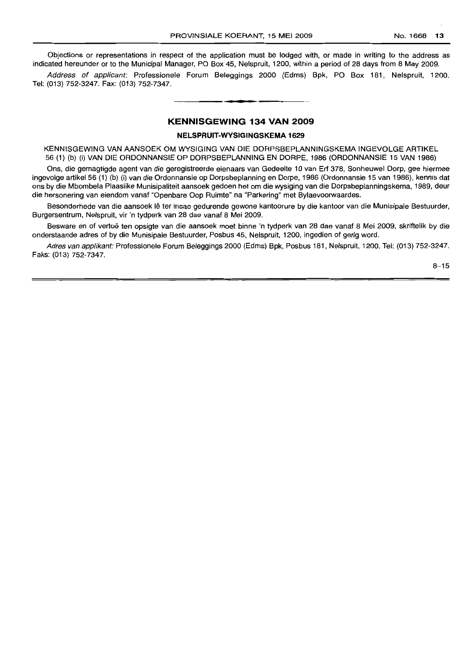Objections or representations in respect of the application must be lodged with, or made in writing to the address as indicated hereunder or to the Municipal Manager, PO Box 45, Nelspruit, 1200, within a period of 28 days from 8 May 2009.

Address of applicant: Professionele Forum Beleggings 2000 (Edms) Bpk, PO Box 181, Nelspruit, 1200. Tel: (013) 752-3247. Fax: (013) 752-7347.

#### **KENNISGEWING 134 VAN 2009**

**• •**

#### **NELSPRUIT-WYSIGINGSKEMA 1629**

KENNISGEWING VAN AANSOEK OM WYSIGING VAN DIE DORPSBEPLANNINGSKEMA INGEVOLGE ARTIKEL 56 (1) (b) (i) VAN DIE ORDONNANSIE OP DORPSBEPLANNING EN DORPE, 1986 (ORDONNANSIE 15 VAN 1986)

Ons, die gemagtigde agent van die geregistreerde eienaars van Gedeelte 10 van Erf 378, Sonheuwel Dorp, gee hiermee ingevolge artikel 56 (1) (b) (i) van die Ordonnansie op Dorpsbeplanning en Dorpe, 1986 (Ordonnansie 15 van 1986), kennis dat ons by die Mbombela Plaaslike Munisipaliteit aansoek gedoen het om die wysiging van die Dorpsbeplanningskema, 1989, deur die hersonering van eiendom vanaf "Openbare Oop Ruimte" na "Parkering" met Bylaevoorwaardes.

Besonderhede van die aansoek lê ter insae gedurende gewone kantoorure by die kantoor van die Munisipale Bestuurder, Burgersentrum, Nelspruit, vir 'n tydperk van 28 dae vanaf 8 Mei 2009.

Besware en of vertoë ten opsigte van die aansoek moet binne 'n tydperk van 28 dae vanaf 8 Mei 2009, skriftelik by die onderstaande adres of by die Munisipale Bestuurder, Posbus 45, Nelspruit, 1200, ingedien of gerig word.

Adres van applikant: Professionele Forum Beleggings 2000 (Edms) Bpk, Posbus 181, Nelspruit, 1200. Tel: (013) 752-3247. Faks: (013) 752-7347.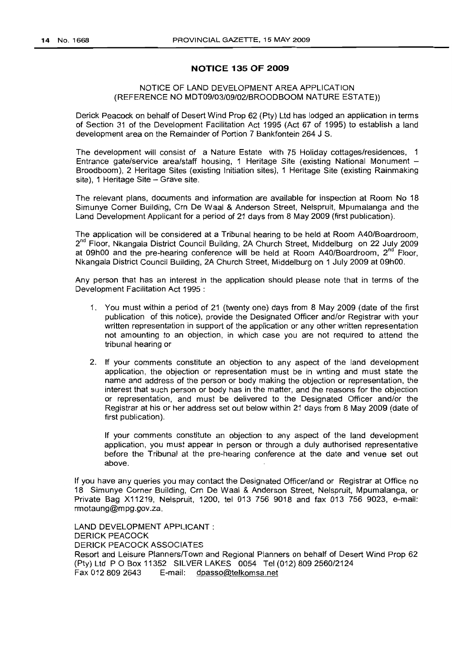# **NOTICE 135 OF 2009**

# NOTICE OF LAND DEVELOPMENT AREA APPLICATION (REFERENCE NO MDT09/03/09/02/BROODBOOM NATURE ESTATE»

Derick Peacock on behalf of Desert Wind Prop 62 (Pty) Ltd has lodged an application in terms of Section 31 of the Development Facilitation Act 1995 (Act 67 of 1995) to establish a land development area on the Remainder of Portion 7 Bankfontein 264 J S.

The development will consist of a Nature Estate with 75 Holiday cottages/residences, 1 Entrance gate/service area/staff housing, 1 Heritage Site (existing National Monument -Broodboom), 2 Heritage Sites (existing Initiation sites), 1 Heritage Site (existing Rainmaking  $site$ ), 1 Heritage Site - Grave site.

The relevant plans, documents and information are available for inspection at Room No 18 Simunye Corner Building, Crn De Waal & Anderson Street, Nelspruit, Mpumalanga and the Land Development Applicant for a period of 21 days from 8 May 2009 (first publication).

The application will be considered at a Tribunal hearing to be held at Room A40/Boardroom, 2<sup>nd</sup> Floor, Nkangala District Council Building, 2A Church Street, Middelburg on 22 July 2009 at 09h00 and the pre-hearing conference will be held at Room A40/Boardroom, 2<sup>nd</sup> Floor, Nkangala District Council Building, 2A Church Street, Middelburg on 1 July 2009 at 09hOO.

Any person that has an interest in the application should please note that in terms of the Development Facilitation Act 1995 :

- 1. You must within a period of 21 (twenty one) days from 8 May 2009 (date of the first publication of this notice), provide the Designated Officer and/or Registrar with your written representation in support of the application or any other written representation not amounting to an objection, in which case you are not required to attend the tribunal hearing or
- 2. If your comments constitute an objection to any aspect of the land development application, the objection or representation must be in writing and must state the name and address of the person or body making the objection or representation, the interest that such person or body has in the matter, and the reasons for the objection or representation, and must be delivered to the Designated Officer and/or the Registrar at his or her address set out below within 21 days from 8 May 2009 (date of first publication).

If your comments constitute an objection' to any aspect of the land development application, you must appear in person or through a duly authorised representative before the Tribunal at the pre-hearing conference at the date and venue set out above.

If you have any queries you may contact the Designated Officer/and or Registrar at Office no 18 Simunye Corner Building, Crn De Waal & Anderson Street, Nelspruit, Mpumalanga, or Private Bag X11219, Nelspruit, 1200, tel 013 756 9018 and fax 013 756 9023, e-mail: rmotaung@mpg.gov.za.

LAND DEVELOPMENT APPLICANT: DERICK PEACOCK DERICK PEACOCK ASSOCIATES Resort and Leisure Planners/Town and Regional Planners on behalf of Desert Wind Prop 62 (Pty) Ltd POBox 11352 SILVER LAKES 0054 Tel (012) 809 2560/2124 Fax 012 809 2643 E-mail: dpasso@telkomsa.net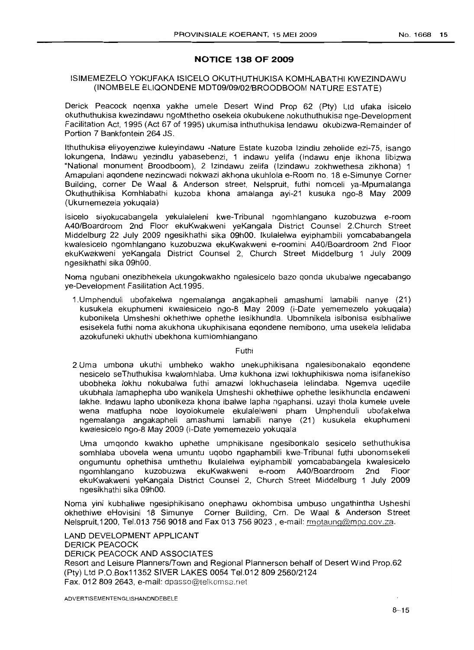# **NOTICE 138 OF 2009**

# ISIMEMEZELO YOKUFAKA ISICELO OKUTHUTHUKISA KOMHLABATHI KWEZINDAWU (INOMBELE ELlQONDENE MDT09/09/02/BROODBOOM NATURE ESTATE)

Derick Peacock nqenxa yakhe umele Desert Wind Prop 62 (Pty) Ltd ufaka isicelo okuthuthukisa kwezindawu ngoMthetho osekela okubukene nokuthuthukisa nge-Development Facilitation Act, 1995 (Act 67 of 1995) ukumisa inthuthukisa lendawu okubizwa-Remainder of Portion 7 Bankfontein 264 JS.

Ithuthukisa eliyoyenziwe kuleyindawu -Nature Estate kuzoba Izindlu zeholide ezi-75, isango lokungena, Indawu yezindlu yabasebenzi, 1 indawu yelifa (Indawu enje ikhona libizwa "National monument Broodboom), 2 Izindawu zelifa (Izindawu zokhwethesa zikhona) 1 Amapulani aqondene nezincwadi nokwazi akhona ukuhlola e-Room no. 18 e-Simunye Corner Building, corner De Waal & Anderson street, Nelspruit, futhi nomceli ya-Mpumalanga Okuthuthikisa Komhlabathi kuzoba khona amalanga ayi-21 kusuka ngo-8 May 2009 (Ukumemezela yokuqala)

Isicelo siyokucabangela yekulaleleni kwe-Tribunal ngomhlangano kuzobuzwa e-room A40/Boardroom 2nd Floor ekuKwakweni yeKangala District Counsel 2.Church Street Middelburg 22 July 2009 ngesikhathi sika 09hOO. Ikulalelwa eyiphambili yomcababangela kwalesicelo ngomhlangano kuzobuzwa ekuKwakweni e-roomini A40/Boardroom 2nd Floor ekuKwakweni yeKangala District Counsel 2, Church Street Middelburg 1 July 2009 ngesikhathi sika 09hOO.

Noma ngubani onezibhekela ukungokwakho ngalesicelo bazo qonda ukubalwe ngecabango ye-Development Fasilitation Act.1995.

1.Umphenduli ubofakelwa ngemalanga angakapheli amashumi lamabili nanye (21) kusukela ekuphumeni kwalesicelo ngo-8 May 2009 (i-Date yememezelo yokuqala) kubonikela Umsheshi okhethiwe ophethe lesikhundla. Ubomnikela isibonisa esibhaliwe esisekela futhi noma akukhona ukuphikisana eqondene nemibono, uma usekela lelidaba azokufuneki ukhuthi ubekhona kumlomhlangano.

Futhi

2.Uma umbona ukuthi umbheko wakho unekuphikisana ngalesibonakalo eqondene nesicelo seThuthukisa kwalomhlaba. Uma kukhona izwi lokhuphikiswa noma isifanekiso ubobheka lokhu nokubalwa futhi amazwi lokhuchasela lelindaba. Ngemva uqedile ukubhala lamaphepha ubo wanikela Umsheshi okhethiwe ophethe lesikhundla endaweni lakhe. Indawu lapho ubonikeza khona ibalwe lapha ngaphansi. uzayi thola kumele uvele wena matfupha nobe loyolokumele ekulalelweni pham Umphenduli ubofakelwa ngemalanga angakapheli amashumi lamabili nanye (21) kusukela ekuphumeni kwalesicelo ngo-8 May 2009 (i-Date yememezelo yokuqala

Uma umqondo kwakho uphethe umphikisane ngesibonkalo sesicelo sethuthukisa somhlaba ubovela wena umuntu uqobo ngaphambili kwe-Tribunal futhi ubonomsekeli ongumuntu ophethisa umthethu Ikulalelwa eyiphambili yomcababangela kwalesicelo ngomhlangano kuzobuzwa ekuKwakweni e-room A40/Boardroom 2nd Floor ekuKwakweni yeKangala District Counsel 2, Church Street Middelburg 1 July 2009 ngesikhathi sika 09hOO.

Noma yini kubhaliwe ngesiphikisano onephawu okhombisa umbuso ungathintha Usheshi okhethiwe eHovisini 18 Simunye Corner Building, Crn. De Waal & Anderson Street Nelspruit, 1200, Tel.013 756 9018 and Fax 013 756 9023, e-mail: rmotaung@mpg.gov.za.

LAND DEVELOPMENT APPLICANT DERICK PEACOCK DERICK PEACOCK AND ASSOCIATES Resort and Leisure Planners/Town and Regional Plannerson behalf of Desert Wind Prop.62 (Pty) Ltd P.O.Box11352 SIVER LAKES 0054 Tel.012 809 2560/2124 Fax. 0128092643, e-mail: dpasso@telkomsa.net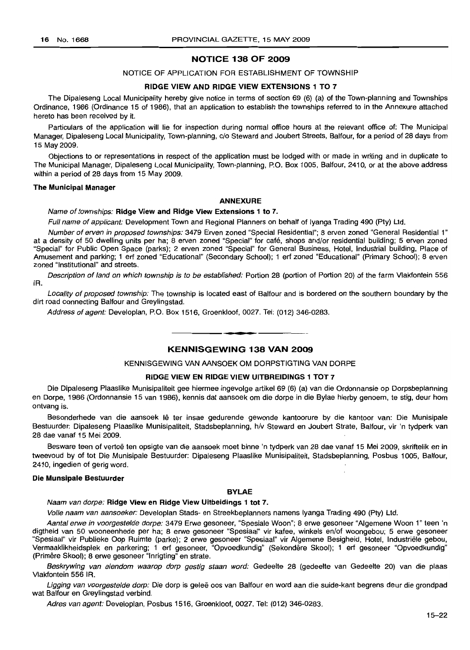## **NOTICE 138 OF 2009**

#### NOTICE OF APPLICATION FOR ESTABLISHMENT OF TOWNSHIP

#### **RIDGE VIEW AND RIDGE VIEW EXTENSIONS 1 TO 7**

The Dipaleseng Local Municipality hereby give notice in terms of section 69 (6) (a) of the Town-planning and Townships Ordinance, 1986 (Ordinance 15 of 1986), that an application to establish the townships referred to in the Annexure attached hereto has been received by it.

Particulars of the application will lie for inspection during normal office hours at the relevant office of: The Municipal Manager, Dipaleseng Local Municipality, Town-planning, c/o Steward and Joubert Streets, Balfour, for a period of 28 days from 15 May 2009.

Objections to or representations in respect of the application must be lodged with or made in writing and in duplicate to The Municipal Manager, Dipaleseng Local Municipality, Town-planning, P.O. Box 1005, Balfour, 2410, or at the above address within a period of 28 days from 15 May 2009.

#### **The Municipal Manager**

#### **ANNEXURE**

#### Name of townships: **Ridge View and Ridge View Extensions 1 to** 7.

Full name of applicant: Development Town and Regional Planners on behalf of Iyanga Trading 490 (Pty) Ltd.

Number of erven in proposed townships: 3479 Erven zoned "Special Residential"; 8 erven zoned "General Residential 1" at a density of 50 dwelling units per ha; 8 erven zoned "Special" for cafe, shops and/or residential building; 5 erven zoned "Special" for Public Open Space (parks); 2 erven zoned "Special" for General Business, Hotel, Industrial building, Place of Amusement and parking; 1 ert zoned "Educational" (Secondary School); 1 ert zoned "Educational" (Primary School); 8 erven zoned "Institutional" and streets.

Description of land on which township is to be established: Portion 28 (portion of Portion 20) of the farm Vlakfontein 556 IR.

Locality of proposed township: The township is located east of Balfour and is bordered on the southern boundary by the dirt road connecting Balfour and Greylingstad.

Address of agent: Developlan, P.O. Box 1516, Groenkloof, 0027. Tel: (012) 346-0283.

#### **KENNISGEWING 138 VAN 2009**

**- .**

KENNISGEWING VAN AANSOEK OM DORPSTIGTING VAN DORPE

#### **RIDGE VIEW EN RIDGE VIEW UITBREIDINGS 1 TOT 7**

Die Dipaleseng Plaaslike Munisipaliteit gee hiermee ingevolge artikel 69 (6) (a) van die Ordonnansie op Dorpsbeplanning en Dorpe, 1986 (Ordonnansie 15 van 1986), kennis dat aansoek om die dorpe in die Bylae hierby genoem, te stig, deur hom ontvang is.

Besonderhede van die aansoek lê ter insae gedurende gewonde kantoorure by die kantoor van: Die Munisipale Bestuurder: Dipaleseng Plaaslike Munisipaliteit, Stadsbeplanning, h/v Steward en Joubert Strate, Balfour, vir 'n tydperk van 28 dae vanaf 15 Mei 2009.

Besware teen of vertoë ten opsigte van die aansoek moet binne 'n tydperk van 28 dae vanaf 15 Mei 2009, skriftelik en in tweevoud by of tot Die Munisipale Bestuurder: Dipaleseng Plaaslike Munisipaliteit, Stadsbeplanning, Posbus 1005, Balfour, 2410, ingedien of gerig word.

#### **Die Munsipale Bestuurder**

### **BYLAE**

Naam van dorpe: **Ridge View en Ridge View Uitbeidings 1 tot 7.**

Volle naam van aansoeker: Developlan Stads- en Streekbeplanners namens Iyanga Trading 490 (Pty) Ltd.

Aantal erwe in voorgestelde dorpe: 3479 Erwe gesoneer, "Spesiale Woon"; 8 erwe gesoneer "Algemene Woon 1" teen 'n digtheid van 50 wooneenhede per ha; 8 erwe gesoneer "Spesiaal" vir kafee, winkels en/of woongebou; 5 erwe gesoneer "Spesiaal'' vir Publieke Oop Ruimte (parke); 2 erwe gesoneer "Spesiaal" vir Aigemene Besigheid, Hotel, lndustriele gebou, Vermaaklikheidsplek en parkering; 1 ert gesoneer, "Opvoedkundig" (Sekondere Skool); 1 ert gesoneer "Opvoedkundig" (Primêre Skool); 8 erwe gesoneer "Inrigting" en strate.

Beskrywing van eiendom waarop dorp gestig staan word: Gedeelte 28 (gedeelte van Gedeelte 20) van die plaas Vlakfontein 556 IR.

Ligging van voorgestelde dorp: Die dorp is geleë oos van Balfour en word aan die suide-kant begrens deur die grondpad wat Balfour en Greylingstad verbind.

Adres van agent: Developlan, Posbus 1516, Groenkloof, 0027. Tel: (012) 346-0283.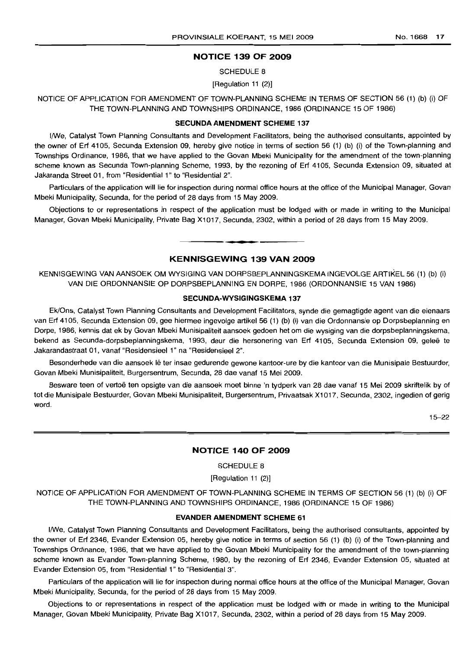#### **NOTICE 139 OF 2009**

SCHEDULE 8

[Regulation 11 (2)]

NOTICE OF APPLICATION FOR AMENDMENT OF TOWN-PLANNING SCHEME IN TERMS OF SECTION 56 (1) (b) (i) OF THE TOWN-PLANNING AND TOWNSHIPS ORDINANCE, 1966 (ORDINANCE 15 OF 1986)

#### **SECUNDA AMENDMENT SCHEME** 137

I/We, Catalyst Town Planning Consultants and Development Facilitators, being the authorised consultants, appointed by the owner of Erf 4105, Secunda Extension 09, hereby give notice in terms of section 56 (1) (b) (i) of the Town-planning and Townships Ordinance, 1966, that we have applied to the Govan Mbeki Municipality for the amendment of the town-planning scheme known as Secunda Town-planning Scheme, 1993, by the rezoning of Erf 4105, Secunda Extension 09, situated at Jakaranda Street 01, from "Residential 1" to "Residential 2".

Particulars of the application will lie for inspection during normal office hours at the office of the Municipal Manager, Govan Mbeki Municipality, Secunda, for the period of 26 days from 15 May 2009.

Objections to or representations in respect of the application must be lodged with or made in writing to the Municipal Manager, Govan Mbeki Municipality, Private Bag X1017, Secunda, 2302, within a period of 26 days from 15 May 2009.

**KENNISGEWING 139 VAN 2009**

**1\_.**

KENNISGEWING VAN AANSOEK OM WYSIGING VAN DORPSBEPLANNINGSKEMA INGEVOLGE ARTIKEL 56 (1) (b) (i) VAN DIE ORDONNANSIE OP DORPSBEPLANNING EN DORPE, 1966 (ORDONNANSIE 15 VAN 1986)

#### **SECUNDA-WYSIGINGSKEMA** 137

Ek/Ons, Catalyst Town Planning Consultants and Development Facilitators, synde die gemagtigde agent van die eienaars van Erf 4105, Secunda Extension 09, gee hiermee ingevolge artikel 56 (1) (b) (i) van die Ordonnansie op Dorpsbeplanning en Darpe, 1966, kennis dat ek by Govan Mbeki Munisipaliteit aansoek gedoen het om die wysiging van die dorpsbeplanningskema, bekend as Secunda-dorpsbeplanningskema, 1993, deur die hersonering van Erf 4105, Secunda Extension 09, geleë te Jakarandastraat 01, vanaf "Residensieel 1" na "Residensieel 2".

Besonderhede van die aansoek lê ter insae gedurende gewone kantoor-ure by die kantoor van die Munisipale Bestuurder, Govan Mbeki Munisipaliteit, Burgersentrum, Secunda, 26 dae vanaf 15 Mei 2009.

Besware teen of vertoë ten opsigte van die aansoek moet binne 'n tydperk van 28 dae vanaf 15 Mei 2009 skriftelik by of tot die Munisipale Bestuurder, Govan Mbeki Munisipaliteit, Burgersentrum, Privaatsak X1 017, Secunda, 2302, ingedien of gerig word.

15-22

#### **NOTICE 140 OF 2009**

SCHEDULE 8

[Regulation 11 (2)]

NOTICE OF APPLICATION FOR AMENDMENT OF TOWN-PLANNING SCHEME IN TERMS OF SECTION 56 (1) (b) (i) OF THE TOWN-PLANNING AND TOWNSHIPS ORDINANCE, 1966 (ORDINANCE 15 OF 1986)

#### **EVANDER AMENDMENT SCHEME 61**

I/We, Catalyst Town Planning Consultants and Development Facilitators, being the authorised consultants, appointed by the owner of Erf 2346, Evander Extension OS, hereby give notice in terms of section 56 (1) (b) (i) of the Town-planning and Townships Ordinance, 1966, that we have applied to the Govan Mbeki Municipality for the amendment of the town-planning scheme known as Evander Town-planning Scheme, 1980, by the rezoning of Erf 2346, Evander Extension 05, situated at Evander Extension 05, from "Residential 1" to "Residential 3".

Particulars of the application will lie for inspection during normal office hours at the office of the Municipal Manager, Govan Mbeki Municipality, Secunda, for the period of 28 days from 15 May 2009.

Objections to or representations in respect of the application must be lodged with or made in writing to the Municipal Manager, Govan Mbeki Municipality, Private Bag X1017, Secunda, 2302, within a period of 26 days from 15 May 2009.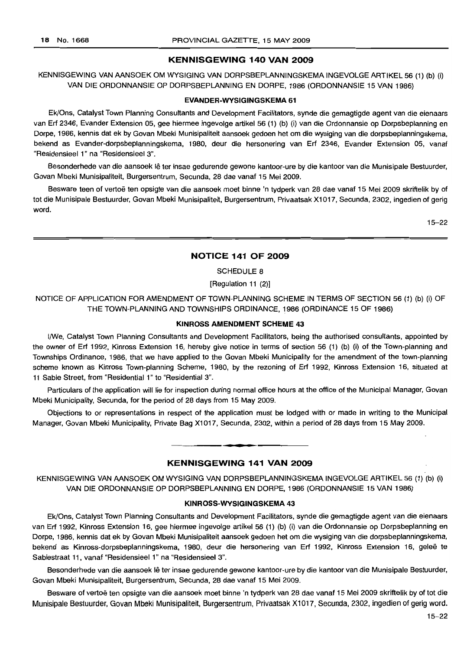#### **KENNISGEWING 140 VAN 2009**

KENNISGEWING VAN AANSOEK OM WYSIGING VAN DORPSBEPLANNINGSKEMA INGEVOLGE ARTIKEL 56 (1) (b) (i) VAN DIE ORDONNANSIE OP DORPSBEPLANNING EN DORPE, 1986 (ORDONNANSIE 15 VAN 1986)

#### **EVANDER-WYSIGINGSKEMA** 61

Ek/Ons, Catalyst Town Planning Consultants and Development Facilitators, synde die gemagtigde agent van die eienaars van Erf 2346, Evander Extension 05, gee hiermee ingevolge artikel 56 (1) (b) (i) van die Ordonnansie op Dorpsbeplanning en Dorpe, 1986, kennis dat ek by Govan Mbeki Munisipafiteit aansoek gedoen het om die wysiging van die dorpsbeplanningskema, bekend as Evander-dorpsbeplanningskema, 1980, deur die hersonering van Erf 2346, Evander Extension 05, vanaf "Residensieel 1" na "Residensieel 3".

Besonderhede van die aansoek lê ter insae gedurende gewone kantoor-ure by die kantoor van die Munisipale Bestuurder, Govan Mbeki Munisipaliteit, Burgersentrum, Secunda, 28 dae vanaf 15 Mei 2009.

Besware teen of vertoe ten opsigte van die aansoek moet binne 'n tydperk van 28 dae vanaf 15 Mei 2009 skriftelik by of tot die Munisipale Bestuurder, Govan Mbeki Munisipaliteit, Burgersentrum, Privaatsak X1017, Secunda, 2302, ingedien of gerig word.

15-22

#### **NOTICE 141 OF 2009**

SCHEDULE 8

[Regulation 11 (2)]

NOTICE OF APPLICATION FOR AMENDMENT OF TOWN-PLANNING SCHEME IN TERMS OF SECTION 56 (1) (b) (i) OF THE TOWN-PLANNING AND TOWNSHIPS ORDINANCE, 1986 (ORDINANCE 15 OF 1986)

#### **KINROSS AMENDMENT SCHEME 43**

I/We, Catalyst Town Planning Consultants and Development Facilitators, being the authorised consultants, appointed by the owner of Erf 1992, Kinross Extension 16, hereby give notice in terms of section 56 (1) (b) (i) of the Town-planning and Townships Ordinance, 1986, that we have applied to the Govan Mbeki Municipality for the amendment of the town-planning scheme known as Kinross Town-planning Scheme, 1980, by the rezoning of Erf 1992, Kinross Extension 16, situated at 11 Sabie Street, from "Residential 1" to "Residential 3".

Particulars of the application will lie for inspection during normal office hours at the office of the Municipal Manager, Govan Mbeki Municipality, Secunda, for the period of 28 days from 15 May 2009.

Objections to or representations in respect of the application must be lodged with or made in writing to the Municipal Manager, Govan Mbeki Municipality, Private Bag Xl 017, Secunda, 2302, within a period of 28 days from 15 May 2009.

#### **KENNISGEWING 141 VAN 2009**

**• •**

KENNISGEWING VAN AANSOEK OM WYSIGING VAN DORPSBEPLANNINGSKEMA INGEVOLGE ARTIKEL 56 (1) (b) (i) VAN DIE ORDONNANSIE OP DORPSBEPLANNING EN DORPE, 1986 (ORDONNANSIE 15 VAN 1986)

#### **KINROSS-WYSIGINGSKEMA 43**

Ek/Ons, Catalyst Town Planning Consultants and Development Facilitators, synde die gemagtigde agent van die eienaars van Erf 1992, Kinross Extension 16, gee hiermee ingevolge artikel 56 (1) (b) (i) van die Ordonnansie op Dorpsbeplanning en Dorpe, 1986, kennis dat ek by Govan Mbeki Munisipaliteit aansoek gedoen het om die wysiging van die dorpsbeplanningskema, bekend as Kinross-dorpsbeplanningskema, 1980, deur die hersonering van Erf 1992, Kinross Extension 16, geleë te Sabiestraat 11, vanaf "Residensieel 1" na "Residensieel 3".

Besonderhede van die aansoek lê ter insae gedurende gewone kantoor-ure by die kantoor van die Munisipale Bestuurder, Govan Mbeki Munisipaliteit, Burgersentrum, Secunda, 28 dae vanaf 15 Mei 2009.

Besware of vertoe ten opsigte van die aansoek moet binne 'n tydperk van 28 dae vanaf 15 Mei 2009 skriftelik by of *tot* die Munisipale Bestuurder, Govan Mbeki Munisipaliteit, Burgersentrum, Privaatsak Xl 017, Secunda, 2302, ingedien of gerig word.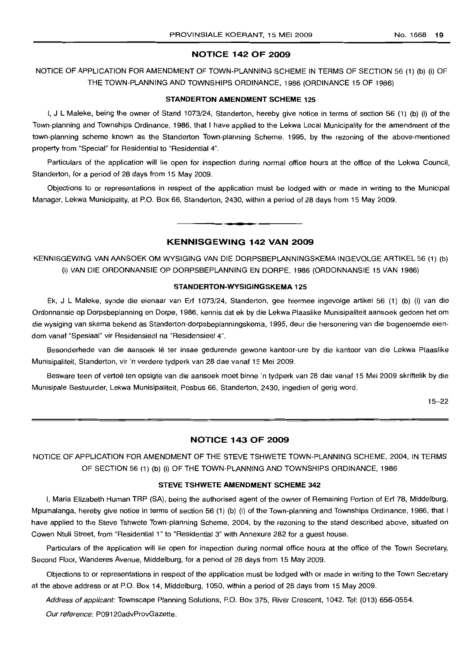# **NOTICE 142 OF 2009**

NOTICE OF APPLICATION FOR AMENDMENT OF TOWN-PLANNING SCHEME IN TERMS OF SECTION 56 (1) (b) (i) OF THE TOWN-PLANNING AND TOWNSHIPS ORDINANCE, 1986 (ORDINANCE 15 OF 1986)

#### **STANDERTON AMENDMENT SCHEME** 125

I, J L Maleke, being the owner of Stand 1073/24, Standerton, hereby give notice in terms of section 56 (1) (b) (i) of the Town-planning and Townships Ordinance, 1986, that I have applied to the Lekwa Local Municipality for the amendment of the town-planning scheme known as the Standerton Town-planning Scheme, 1995, by the rezoning of the above-mentioned property from "Special" for Residential to "Residential 4".

Particulars of the application will lie open for inspection during normal office hours at the office of the Lekwa Council, Standerton, for a period of 28 days from 15 May 2009.

Objections to or representations in respect of the application must be lodged with or made in writing to the Municipal Manager, Lekwa Municipality, at P.O. Box 66, Standerton, 2430, within a period of 28 days from 15 May 2009.

# **KENNISGEWING 142 VAN 2009**

**•**

KENNISGEWING VAN AANSOEK OM WYSIGING VAN DIE DORPSBEPLANNINGSKEMA INGEVOLGE ARTIKEL 56 (1) (b) (i) VAN DIE ORDONNANSIE OP DORPSBEPLANNING EN DORPE, 1986 (ORDONNANSIE 15 VAN 1986)

#### **STANDERTON-WYSIGINGSKEMA** 125

Ek, J L Maleke, synde die eienaar van Erf 1073/24, Standerton, gee hiermee ingevolge artikel 56 (1) (b) (i) van die Ordonnansie op Dorpsbeplanning en Dorpe, 1986, kennis dat ek by die Lekwa Plaaslike Munisipaliteit aansoek gedoen het om die wysiging van skema bekend as Standerton-dorpsbeplanningskema, 1995, deur die hersonering van die bogenoemde eiendom vanaf "Spesiaal" vir Residensieel na "Residensieel 4".

Besonderhede van die aansoek lê ter insae gedurende gewone kantoor-ure by die kantoor van die Lekwa Plaaslike Munisipaliteit, Standerton, vir 'n verdere tydperk van 28 dae vanaf 15 Mei 2009.

Besware teen of vertoe ten opsigte van die aansoek moet binne 'n tydperk van 28 dae vanaf 15 Mei 2009 skriftelik by die Munisipale Bestuurder, Lekwa Munisipaliteit, Posbus 66, Standerton, 2430, ingedien of gerig word.

15-22

# **NOTICE 143 OF 2009**

NOTICE OF APPLICATION FOR AMENDMENT OF THE STEVE TSHWETE TOWN-PLANNING SCHEME, 2004, IN TERMS OF SECTION 56 (1) (b) (i) OF THE TOWN-PLANNING AND TOWNSHIPS ORDINANCE, 1986

#### STEVE **TSHWETE AMENDMENT SCHEME** 342

I, Maria Elizabeth Human TRP (SA), being the authorised agent of the owner of Remaining Portion of Erf 78, Middelburg, Mpumalanga, hereby give notice in terms of section 56 (1) (b) (i) of the Town-planning and Townships Ordinance, 1986, that I have applied to the Steve Tshwete Town-planning Scheme, 2004, by the rezoning to the stand described above, situated on Cowen Ntuli Street, from "Residential 1" to "Residential 3" with Annexure 282 for a guest house.

Particulars of the application will lie open for inspection during normal office hours at the office of the Town Secretary, Second Floor, Wanderes Avenue, Middelburg, for a period of 28 days from 15 May 2009.

Objections to or representations in respect of the application must be lodged with or made in writing to the Town Secretary at the above address or at P.O. Box 14, Middelburg, 1050, within a period of 28 days from 15 May 2009.

Address of applicant: Townscape Planning Solutions, P.O. Box 375, River Crescent, 1042. Tel: (013) 656-0554.

Our reference: P09120advProvGazette.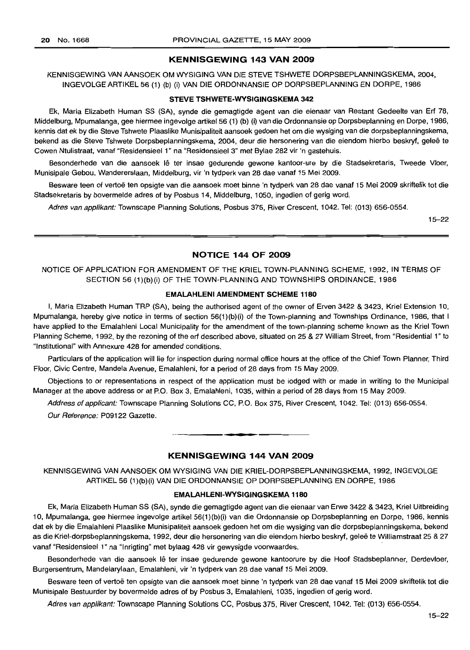#### KENNISGEWING 143 VAN 2009

KENNISGEWING VAN AANSOEK OM WYSIGING VAN DIE STEVE TSHWETE DORPSBEPLANNINGSKEMA, 2004, INGEVOLGE ARTIKEL 56 (1) (b) (i) VAN DIE ORDONNANSIE OP DORPSBEPLANNING EN DORPE, 1986

#### STEVE TSHWETE·WYSIGINGSKEMA 342

Ek, Maria Elizabeth Human SS (SA), synde die gemagtigde agent van die eienaar van Restant Gedeelte van Erf 78, Middelburg, Mpumalanga, gee hiermee ingevolge artikel 56 (1) (b) (i) van die Ordonnansie op Dorpsbeplanning en Dorpe, 1986, kennis dat ek by die Steve Tshwete Plaaslike Munisipaliteit aansoek gedoen het om die wysiging van die dorpsbeplanningskema, bekend as die Steve Tshwete Dorpsbeplanningskema, 2004, deur die hersonering van die eiendom hierbo beskryf, geleë te Cowen Ntulistraat, vanaf "Residensieel 1" na "Residensieel 3" met Bylae 282 vir 'n gastehuis.

Besonderhede van die aansoek lê ter insae gedurende gewone kantoor-ure by die Stadsekretaris, Tweede Vloer, Munisipale Gebou, Wandererslaan, Middelburg, vir 'n tydperk van 28 dae vanaf 15 Mei 2009.

Besware teen of vertoë ten opsigte van die aansoek moet binne 'n tydperk van 28 dae vanaf 15 Mei 2009 skriftelik tot die Stadsekretaris by bovermelde adres of by Posbus 14, Middelburg, 1050, ingedien of gerig word.

Adres van applikant: Townscape Planning Solutions, Posbus 375, River Crescent, 1042. Tel: (013) 656-0554.

15-22

#### NOTICE 144 OF 2009

NOTICE OF APPLICATION FOR AMENDMENT OF THE KRIEL TOWN-PLANNING SCHEME, 1992, IN TERMS OF SECTION 56 (1)(b)(i) OF THE TOWN-PLANNING AND TOWNSHIPS ORDINANCE, 1986

#### EMALAHLENI AMENDMENT SCHEME 1180

I, Maria Elizabeth Human TRP (SA), being the authorised agent of the owner of Erven 3422 & 3423, Kriel Extension 10, Mpumalanga, hereby give notice in terms of section 56(1)(b)(i) of the Town-planning and Townships Ordinance, 1986, that I have applied to the Emalahleni Local Municipality for the amendment of the town-planning scheme known as the Kriel Town Planning Scheme, 1992, by the rezoning of the erf described above, situated on 25 & 27 William Street, from "Residential 1" to "Institutional" with Annexure 428 for amended conditions.

Particulars of the application will lie for inspection during normal office hours at the office of the Chief Town Planner, Third Floor, Civic Centre, Mandela Avenue, Emalahleni, for a period of 28 days from 15 May 2009.

Objections to or representations in respect of the application must be lodged with or made in writing to the Municipal Manager at the above address or at P.O. Box 3, Emalahleni, 1035, within a period of 28 days from 15 May 2009.

Address of applicant: Townscape Planning Solutions CC, PO. Box 375, River Crescent, 1042. Tel: (013) 656-0554.

Our Reference: P09122 Gazette.

# KENNISGEWING 144 VAN 2009

• **••**

KENNISGEWING VAN AANSOEK OM WYSIGING VAN DIE KRIEL-DORPSBEPLANNINGSKEMA, 1992, INGEVOLGE ARTIKEL 56 (1)(b)(i) VAN DIE ORDONNANSIE OP DORPSBEPLANNING EN DORPE, 1986

#### EMALAHLENI-WYSIGINGSKEMA 1180

Ek, Maria Elizabeth Human SS (SA), synde die gemagtigde agent van die eienaar van Erwe 3422 & 3423, Kriel Uitbreiding 10, Mpumalanga, gee hiermee ingevolge artikel 56(1 )(b)(i) van die Ordonnansie op Dorpsbeplanning en Dorpe, 1986, kennis dat ek by die Emalahleni Plaaslike Munisipaliteit aansoek gedoen het om die wysiging van die dorpsbeplanningskema, bekend as die Kriel-dorpsbeplanningskema, 1992, deur die hersonering van die eiendom hierbo beskryf, gelee te Williamstraat 25 & 27 vanaf "Residensieel 1" na "Inrigting" met bylaag 428 vir gewysigde voorwaardes.

Besonderhede van die aansoek lê ter insae gedurende gewone kantoorure by die Hoof Stadsbeplanner, Derdevloer, Burgersentrum, Mandelarylaan, Emalahleni, vir 'n tydperk van 28 dae vanaf 15 Mei 2009.

Besware teen of vertoë ten opsigte van die aansoek moet binne 'n tydperk van 28 dae vanaf 15 Mei 2009 skriftelik tot die Munisipale Bestuurder by bovermelde adres of by Posbus 3, Emalahleni, 1035, ingedien of gerig word.

Adres van applikant: Townscape Planning Solutions CC, Posbus 375, River Crescent, 1042. Tel: (013) 656-0554.